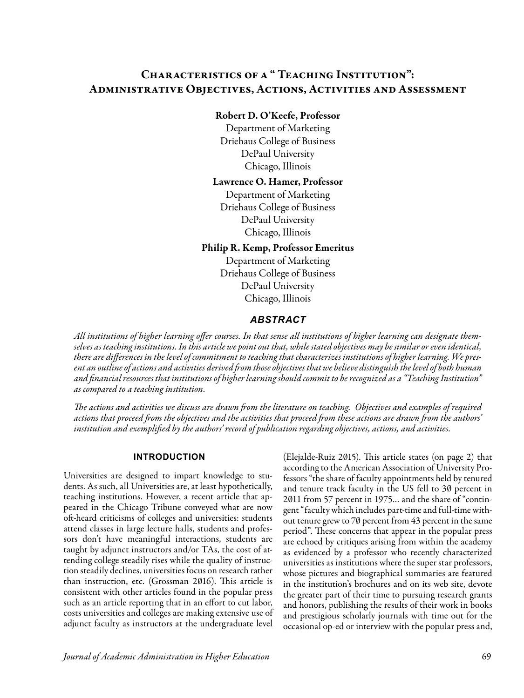# Characteristics of a " Teaching Institution": Administrative Objectives, Actions, Activities and Assessment

### Robert D. O'Keefe, Professor

Department of Marketing Driehaus College of Business DePaul University Chicago, Illinois

### Lawrence O. Hamer, Professor

Department of Marketing Driehaus College of Business DePaul University Chicago, Illinois

### Philip R. Kemp, Professor Emeritus

Department of Marketing Driehaus College of Business DePaul University Chicago, Illinois

# *ABSTRACT*

*All institutions of higher learning offer courses. In that sense all institutions of higher learning can designate themselves as teaching institutions. In this article we point out that, while stated objectives may be similar or even identical, there are differences in the level of commitment to teaching that characterizes institutions of higher learning. We present an outline of actions and activities derived from those objectives that we believe distinguish the level of both human and financial resources that institutions of higher learning should commit to be recognized as a "Teaching Institution" as compared to a teaching institution.* 

*The actions and activities we discuss are drawn from the literature on teaching. Objectives and examples of required actions that proceed from the objectives and the activities that proceed from these actions are drawn from the authors' institution and exemplified by the authors' record of publication regarding objectives, actions, and activities.* 

### **INTRODUCTION**

Universities are designed to impart knowledge to students. As such, all Universities are, at least hypothetically, teaching institutions. However, a recent article that appeared in the Chicago Tribune conveyed what are now oft-heard criticisms of colleges and universities: students attend classes in large lecture halls, students and professors don't have meaningful interactions, students are taught by adjunct instructors and/or TAs, the cost of attending college steadily rises while the quality of instruction steadily declines, universities focus on research rather than instruction, etc. (Grossman 2016). This article is consistent with other articles found in the popular press such as an article reporting that in an effort to cut labor, costs universities and colleges are making extensive use of adjunct faculty as instructors at the undergraduate level

(Elejalde-Ruiz 2015). This article states (on page 2) that according to the American Association of University Professors "the share of faculty appointments held by tenured and tenure track faculty in the US fell to 30 percent in 2011 from 57 percent in 1975… and the share of "contingent "faculty which includes part-time and full-time without tenure grew to 70 percent from 43 percent in the same period". These concerns that appear in the popular press are echoed by critiques arising from within the academy as evidenced by a professor who recently characterized universities as institutions where the super star professors, whose pictures and biographical summaries are featured in the institution's brochures and on its web site, devote the greater part of their time to pursuing research grants and honors, publishing the results of their work in books and prestigious scholarly journals with time out for the occasional op-ed or interview with the popular press and,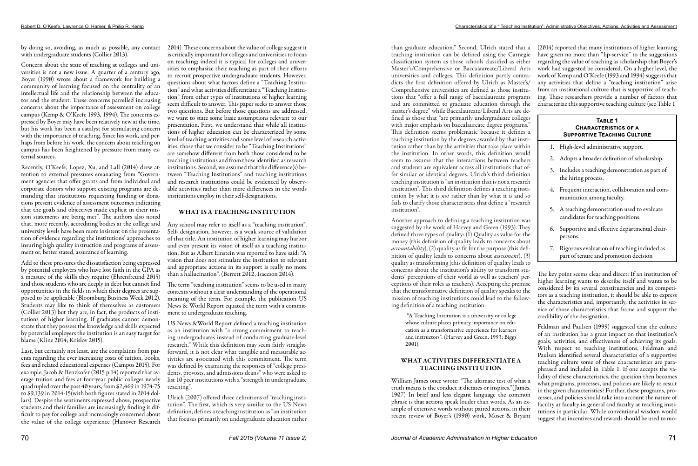by doing so, avoiding, as much as possible, any contact 2014). These concerns about the value of college suggest it with undergraduate students (Collier 2013).

Concern about the state of teaching at colleges and universities is not a new issue. A quarter of a century ago, Boyer (1990) wrote about a framework for building a community of learning focused on the centrality of an intellectual life and the relationship between the educator and the student. These concerns parrelled increasing concerns about the importance of assessment on college campus (Kemp & O'Keefe 1993, 1994). The concerns expressed by Boyer may have been relatively new at the time, but his work has been a catalyst for stimulating concern with the importance of teaching. Since his work, and perhaps from before his work, the concern about teaching on campus has been heightened by pressure from many external sources.

Recently, O'Keefe, Lopez, Xu, and Lall (2014) drew attention to external pressures emanating from "Government agencies that offer grants and from individual and corporate donors who support existing programs are demanding that institutions requesting funding or donations present evidence of assessment outcomes indicating that the goals and objectives made explicit in their mission statements are being met". The authors also noted that, more recently, accrediting bodies at the college and university levels have been more insistent on the presentation of evidence regarding the institutions' approaches to insuring high quality instruction and programs of assessment or, better stated, assurance of learning.

Add to these pressures the dissatisfaction being expressed by potential employers who have lost faith in the GPA as a measure of the skills they require (Ehrenfreund 2015) and those students who are deeply in debt but cannot find opportunities in the fields in which their degrees are supposed to be applicable (Bloomburg Business Week 2012). Students may like to think of themselves as customers (Collier 2013) but they are, in fact, the products of institutions of higher learning. If graduates cannot demonstrate that they possess the knowledge and skills expected by potential employers the institution is an easy target for blame (Kline 2014; Krislov 2015).

Last, but certainly not least, are the complaints from parents regarding the ever increasing costs of tuition, books, fees and related educational expenses (Campos 2015). For example, Jacob & Benzkofer (2015 p.14) reported that average tuition and fees at four-year public colleges nearly quadrupled over the past 40 years, from \$2,469 in 1974-75 to \$9,139 in 2014-15(with both figures stated in 2014 dollars). Despite the sentiments expressed above, prospective students and their families are increasingly finding it difficult to pay for college and increasingly concerned about the value of the college experience (Hanover Research

is critically important for colleges and universities to focus on teaching; indeed it is typical for colleges and universities to emphasize their teaching as part of their efforts to recruit prospective undergraduate students. However, questions about what factors define a "Teaching Institution" and what activities differentiate a "Teaching Institution" from other types of institutions of higher learning seem difficult to answer. This paper seeks to answer those two questions. But before those questions are addressed, we want to state some basic assumptions relevant to our presentation. First, we understand that while all institutions of higher education can be characterized by some level of teaching activities and some level of research activities, those that we consider to be "Teaching Institutions" are somehow different from both those considered to be teaching institutions and from those identified as research institutions. Second, we assumed that the difference(s) between "Teaching Institutions" and teaching institutions and research institutions could be evidenced by observable activities rather than mere differences in the words institutions employ in their self-designations.

# WHAT IS A TEACHING INSTITUTION

Any school may refer to itself as a "teaching institution". Self- designation, however, is a weak source of validation of that title. An institution of higher learning may harbor and even present its vision of itself as a teaching institution. But as Albert Einstein was reported to have said: "A vision that does not stimulate the institution to relevant and appropriate actions in its support is really no more than a hallucination". (Berrett 2012, Isaccson 2014).

The term "teaching institution" seems to be used in many contexts without a clear understanding of the operational meaning of the term. For example, the publication US News & World Report equated the term with a commitment to undergraduate teaching.

US News &World Report defined a teaching institution as an institution with "a strong commitment to teaching undergraduates instead of conducting graduate-level research." While this definition may seem fairly straightforward, it is not clear what tangible and measurable activities are associated with this commitment. The term was defined by examining the responses of "college presidents, provosts, and admissions deans" who were asked to list 10 peer institutions with a "strength in undergraduate teaching".

Ulrich (2007) offered three definitions of "teaching institution". The first, which is very similar to the US News definition, defines a teaching institution as "an institution that focuses primarily on undergraduate education rather Another approach to defining a teaching institution was suggested by the work of Harvey and Green (1993). They defined three types of quality: (1) Quality as value for the money (this definition of quality leads to concerns about *accountability*), (2) quality as fit for the purpose (this definition of quality leads to concerns about *assessment*), (3) quality as transforming (this definition of quality leads to concerns about the institution's ability to transform students' perceptions of their world as well as teachers' perceptions of their roles as teachers). Accepting the premise that the transformative definition of quality speaks to the mission of teaching institutions could lead to the following definition of a teaching institution:

than graduate education." Second, Ulrich stated that a teaching institution can be defined using the Carnegie classification system as those schools classified as either Master's/Comprehensive or Baccalaureate/Liberal Arts universities and colleges. This definition partly contradicts the first definition offered by Ulrich as Master's/ Comprehensive universities are defined as those institutions that "offer a full range of baccalaureate programs and are committed to graduate education through the master's degree" while Baccalaureate/Liberal Arts are defined as those that "are primarily undergraduate colleges with major emphasis on baccalaureate degree programs." This definition seems problematic because it defines a teaching institution by the degrees awarded by that institution rather than by the activities that take place within the institution. In other words, this definition would seem to assume that the interactions between teachers and students are equivalent across all institutions that offer similar or identical degrees. Ulrich's third definition teaching institution is "an institution that is not a research institution". This third definition defines a teaching institution by what it is *not* rather than by what it *is* and so fails to clarify those characteristics that define a "research institution". (2014) reported that many institutions of higher learning have given no more than "lip-service" to the suggestions regarding the value of teaching as scholarship that Boyer's work had suggested be considered. On a higher level, the work of Kemp and O'Keefe (1993 and 1994) suggests that any activities that define a "teaching institution" arise from an institutional culture that is supportive of teaching. These researchers provide a number of factors that characterize this supportive teaching culture (see Table 1 **Table 1 Characteristics of a Supportive Teaching Culture** 1. High-level administrative support. 2. Adopts a broader definition of scholarship. 3. Includes a teaching demonstration as part of the hiring process. 4. Frequent interaction, collaboration and communication among faculty. 5. A teaching demonstration used to evaluate

 "A Teaching Institution is a university or college whose culture places primary importance on education as a transformative experience for learners and instructors". (Harvey and Green, 1993; Biggs 2001).

### WHAT ACTIVITIES DIFFERENTIATE A TEACHING INSTITUTION

William James once wrote: "The ultimate test of what a truth means is the conduct it dictates or inspires."(James, 1907) In brief and less elegant language the common phrase is that actions speak louder than words. As an example of extensive words without paired actions, in their recent review of Boyer's (1990) work, Moser & Bryant

- 
- 
- 
- 
- candidates for teaching positions.
- 6. Supportive and effective departmental chairpersons.
- 7. Rigorous evaluation of teaching included as part of tenure and promotion decision

The key point seems clear and direct: If an institution of higher learning wants to describe itself and wants to be considered by its several constituencies and its competitors as a teaching institution, it should be able to express the characteristics and, importantly, the activities in service of those characteristics that frame and support the credibility of the designation.

Feldman and Paulsen (1999) suggested that the culture of an institution has a great impact on that institution's goals, activities, and effectiveness of achieving its goals. With respect to teaching institutions, Feldman and Paulsen identified several characteristics of a supportive teaching culture some of these characteristics are paraphrased and included in Table 1. If one accepts the validity of these characteristics, the question then becomes what programs, processes, and policies are likely to result in the given characteristics? Further, these programs, processes, and policies should take into account the nature of faculty at faculty in general and faculty at teaching institutions in particular. While conventional wisdom would suggest that incentives and rewards should be used to mo-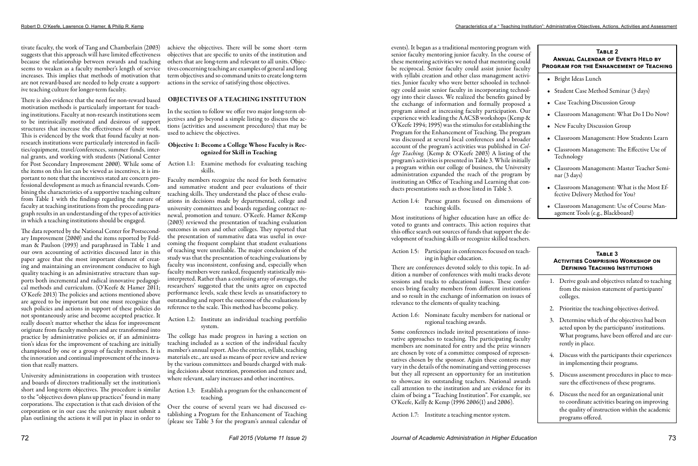tivate faculty, the work of Tang and Chamberlain (2003) suggests that this approach will have limited effectiveness because the relationship between rewards and teaching seems to weaken as a faculty member's length of service increases. This implies that methods of motivation that are not reward-based are needed to help create a supportive teaching culture for longer-term faculty.

There is also evidence that the need for non-reward based motivation methods is particularly important for teaching institutions. Faculty at non-research institutions seem to be intrinsically motivated and desirous of support structures that increase the effectiveness of their work. This is evidenced by the work that found faculty at nonresearch institutions were particularly interested in facilities/equipment, travel/conferences, summer funds, internal grants, and working with students (National Center for Post Secondary Improvement 2000). While some of the items on this list can be viewed as incentives, it is important to note that the incentives stated are concern professional development as much as financial rewards. Combining the characteristics of a supportive teaching culture from Table 1 with the findings regarding the nature of faculty at teaching institutions from the proceeding paragraph results in an understanding of the types of activities in which a teaching institutions should be engaged.

The data reported by the National Center for Postsecondary Improvement (2000) and the items reported by Feldman & Paulson (1993) and paraphrased in Table 1 and our own accounting of activities discussed later in this paper agree that the most important element of creating and maintaining an environment conducive to high quality teaching is an administrative structure than supports both incremental and radical innovative pedagogical methods and curriculum. (O'Keefe & Hamer 2011; O'Keefe 2013) The policies and actions mentioned above are agreed to be important but one must recognize that such policies and actions in support of these policies do not spontaneously arise and become accepted practice. It really doesn't matter whether the ideas for improvement originate from faculty members and are transformed into practice by administrative policies or, if an administration's ideas for the improvement of teaching are initially championed by one or a group of faculty members. It is the innovation and continual improvement of the innovation that really matters.

University administrations in cooperation with trustees and boards of directors traditionally set the institution's short and long-term objectives. The procedure is similar to the "objectives down plans up practices" found in many corporations. The expectation is that each division of the corporation or in our case the university must submit a plan outlining the actions it will put in place in order to

achieve the objectives. There will be some short -term objectives that are specific to units of the institution and others that are long-term and relevant to all units. Objectives concerning teaching are examples of general and long term objectives and so command units to create long-term actions in the service of satisfying those objectives.

### OBJECTIVES OF A TEACHING INSTITUTION

In the section to follow we offer two major long-term objectives and go beyond a simple listing to discuss the actions (activities and assessment procedures) that may be used to achieve the objectives.

### Objective 1: Become a College Whose Faculty is Recognized for Skill in Teaching

Action 1.1: Examine methods for evaluating teaching skills.

Faculty members recognize the need for both formative and summative student and peer evaluations of their teaching skills. They understand the place of these evaluations in decisions made by departmental, college and university committees and boards regarding contract renewal, promotion and tenure. O'Keefe. Hamer &Kemp (2003) reviewed the presentation of teaching evaluation outcomes in ours and other colleges. They reported that the presentation of summative data was useful in overcoming the frequent complaint that student evaluations of teaching were unreliable. The major conclusion of the study was that the presentation of teaching evaluations by faculty was inconsistent, confusing and, especially when faculty members were ranked, frequently statistically misinterpreted. Rather than a confusing array of averages, the researchers' suggested that the units agree on expected performance levels, scale these levels as unsatisfactory to outstanding and report the outcome of the evaluations by reference to the scale. This method has become policy.

Action 1.2: Institute an individual teaching portfolio system.

The college has made progress in having a section on teaching included as a section of the individual faculty member's annual report. Also the entries, syllabi, teaching materials etc., are used as means of peer review and review by the various committees and boards charged with making decisions about retention, promotion and tenure and, where relevant, salary increases and other incentives.

### Action 1.3: Establish a program for the enhancement of teaching.

Over the course of several years we had discussed establishing a Program for the Enhancement of Teaching (please see Table 3 for the program's annual calendar of events). It began as a traditional mentoring program with senior faculty mentoring junior faculty. In the course of these mentoring activities we noted that mentoring could be reciprocal. Senior faculty could assist junior faculty with syllabi creation and other class management activities. Junior faculty who were better schooled in technology could assist senior faculty in incorporating technology into their classes. We realized the benefits gained by the exchange of information and formally proposed a program aimed at increasing faculty participation. Our experience with leading the AACSB workshops (Kemp & O'Keefe 1994; 1995) was the stimulus for establishing the Program for the Enhancement of Teaching. The program was discussed at several local conferences and a broader account of the program's activities was published in *College Teaching.* (Kemp & O'Keefe 2003) A listing of the program's activities is presented in Table 3. While initially a program within our college of business, the University administration expanded the reach of the program by instituting an Office of Teaching and Learning that conducts presentations such as those listed in Table 3.

Action 1.4: Pursue grants focused on dimensions of teaching skills.

Most institutions of higher education have an office devoted to grants and contracts. This action requires that this office search out sources of funds that support the development of teaching skills or recognize skilled teachers.

Action 1.5: Participate in conferences focused on teaching in higher education.

There are conferences devoted solely to this topic. In addition a number of conferences with multi tracks devote sessions and tracks to educational issues. These conferences bring faculty members from different institutions and so result in the exchange of information on issues of relevance to the elements of quality teaching.

Action 1.6: Nominate faculty members for national or regional teaching awards.

Some conferences include invited presentations of innovative approaches to teaching. The participating faculty members are nominated for entry and the prize winners are chosen by vote of a committee composed of representatives chosen by the sponsor. Again these contests may vary in the details of the nominating and vetting processes but they all represent an opportunity for an institution to showcase its outstanding teachers. National awards call attention to the institution and are evidence for its claim of being a "Teaching Institution". For example, see O'Keefe, Kelly & Kemp (1996 2006(1) and 2006).

Action 1.7: Institute a teaching mentor system.

# **Table 3 Activities Comprising Workshop on Defining Teaching Institutions**

- 1. Derive goals and objectives related to teaching from the mission statement of participants' colleges.
- 2. Prioritize the teaching objectives derived.
- 3. Determine which of the objectives had been acted upon by the participants' institutions. What programs, have been offered and are currently in place.
- 4. Discuss with the participants their experiences in implementing their programs.
- 5. Discuss assessment procedures in place to measure the effectiveness of these programs.
- 6. Discuss the need for an organizational unit to coordinate activities bearing on improving the quality of instruction within the academic programs offered.

# **Table 2 Annual Calendar of Events Held by Program for the Enhancement of Teaching**

- Bright Ideas Lunch
- Student Case Method Seminar (3 days)
- Case Teaching Discussion Group
- Classroom Management: What Do I Do Now?
- New Faculty Discussion Group
- Classroom Management: How Students Learn
- Classroom Management: The Effective Use of Technology
- Classroom Management: Master Teacher Seminar (3 days)
- Classroom Management: What is the Most Effective Delivery Method for You?
- Classroom Management: Use of Course Management Tools (e.g., Blackboard)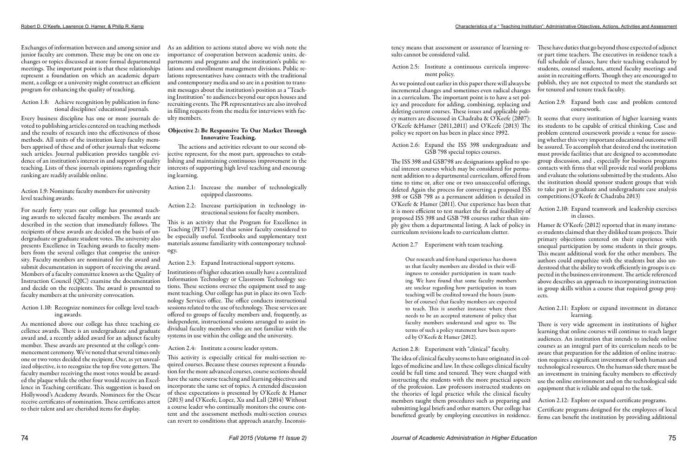Exchanges of information between and among senior and As an addition to actions stated above we wish note the junior faculty are common. These may be one on one exchanges or topics discussed at more formal departmental meetings. The important point is that these relationships represent a foundation on which an academic department, a college or a university might construct an efficient program for enhancing the quality of teaching.

### Action 1.8: Achieve recognition by publication in functional disciplines' educational journals.

Every business discipline has one or more journals devoted to publishing articles centered on teaching methods and the results of research into the effectiveness of those methods. All units of the institution keep faculty members apprised of these and of other journals that welcome such articles. Journal publication provides tangible evidence of an institution's interest in and support of quality teaching. Lists of these journals opinions regarding their ranking are readily available online.

Action 1.9: Nominate faculty members for university level teaching awards.

For nearly forty years our college has presented teaching awards to selected faculty members. The awards are described in the section that immediately follows. The recipients of these awards are decided on the basis of undergraduate or graduate student votes. The university also presents Excellence in Teaching awards to faculty members from the several colleges that comprise the university. Faculty members are nominated for the award and submit documentation in support of receiving the award. Members of a faculty committee known as the Quality of Instruction Council (QIC) examine the documentation and decide on the recipients. The award is presented to faculty members at the university convocation.

Action 1.10: Recognize nominees for college level teaching awards.

As mentioned above our college has three teaching excellence awards. There is an undergraduate and graduate award and, a recently added award for an adjunct faculty member. These awards are presented at the college's commencement ceremony. We've noted that several times only one or two votes decided the recipient. Our, as yet unrealized objective, is to recognize the top five vote getters. The faculty member receiving the most votes would be awarded the plaque while the other four would receive an Excellence in Teaching certificate. This suggestion is based on Hollywood's Academy Awards. Nominees for the Oscar receive certificates of nomination. These certificates attest to their talent and are cherished items for display.

importance of cooperation between academic units, departments and programs and the institution's public relations and enrollment management divisions. Public relations representatives have contacts with the traditional and contemporary media and so are in a position to transmit messages about the institution's position as a "Teaching Institution" to audiences beyond our open houses and recruiting events. The PR representatives are also involved in filling requests from the media for interviews with faculty members.

### Objective 2: Be Responsive To Our Market Through Innovative Teaching.

The actions and activities relevant to our second objective represent, for the most part, approaches to establishing and maintaining continuous improvement in the interests of supporting high level teaching and encouraging learning.

Action 2.1: Increase the number of technologically equipped classrooms.

Action 2.2: Increase participation in technology instructional sessions for faculty members.

This is an activity that the Program for Excellence in Teaching (PET) found that senior faculty considered to be especially useful. Textbooks and supplementary text materials assume familiarity with contemporary technology.

Action 2.3: Expand Instructional support systems.

Institutions of higher education usually have a centralized Information Technology or Classroom Technology sections. These sections oversee the equipment used to augment teaching. Our college has put in place its own Technology Services office. The office conducts instructional sessions related to the use of technology. These services are offered to groups of faculty members and, frequently, as independent, instructional sessions arranged to assist individual faculty members who are not familiar with the systems in use within the college and the university.

Action 2.4: Institute a course leader system.

This activity is especially critical for multi-section required courses. Because these courses represent a foundation for the more advanced courses, course sections should have the same course teaching and learning objectives and incorporate the same set of topics. A extended discussion of these expectations is presented by O'Keefe & Hamer (2013) and O'Keefe, Lopez, Xu and Lall (2014) Without a course leader who continually monitors the course content and the assessment methods multi-section courses can revert to conditions that approach anarchy. Inconsis-

in a curriculum. The important point is to have a set policy and procedure for adding, combining, replacing and deleting current courses. These issues and applicable policy matters are discussed in Chadraba & O'Keefe (2007): O'Keefe &Hamer (2011,2011) and O'Keefe (2013) The policy we report on has been in place since 1992.

O'Keefe & Hamer (2011). Our experience has been that it is more efficient to test market the fit and feasibility of proposed ISS 398 and GSB 798 courses rather than simply give them a departmental listing. A lack of policy in curriculum revisions leads to curriculum clutter.

Action 2.7 Experiment with team teaching.

tency means that assessment or assurance of learning re-These have duties that go beyond those expected of adjunct sults cannot be considered valid. Action 2.5: Institute a continuous curricula improvement policy. As we pointed out earlier in this paper there will always be incremental changes and sometimes even radical changes or part time teachers. The executives in residence teach a full schedule of classes, have their teaching evaluated by students, counsel students, attend faculty meetings and assist in recruiting efforts. Though they are encouraged to publish, they are not expected to meet the standards set for tenured and tenure track faculty.

Our research and first-hand experience has shown us that faculty members are divided in their willingness to consider participation in team teaching. We have found that some faculty members are unclear regarding how participation in team teaching will be credited toward the hours (number of courses) that faculty members are expected to teach. This is another instance where there needs to be an accepted statement of policy that faculty members understand and agree to. The terms of such a policy statement have been reported by O'Keefe & Hamer (2012).

### Action 2.8: Experiment with "clinical" faculty.

Action 2.6: Expand the ISS 398 undergraduate and GSB 798 special topics courses. The ISS 398 and GSB798 are designations applied to special interest courses which may be considered for permanent addition to a departmental curriculum, offered from time to time or, after one or two unsuccessful offerings, deleted Again the process for converting a proposed ISS 398 or GSB 798 as a permanent addition is detailed in be assured. To accomplish that desired end the institution must provide facilities that are designed to accommodate group discussion, and , especially for business programs contacts with firms that will provide real world problems and evaluate the solutions submitted by the students. Also the institution should sponsor student groups that wish to take part in graduate and undergraduate case analysis competitions.(O'Keefe & Chadraba 2013)

The idea of clinical faculty seems to have originated in colleges of medicine and law. In these colleges clinical faculty could be full time and tenured. They were charged with instructing the students with the more practical aspects of the profession. Law professors instructed students on the theories of legal practice while the clinical faculty members taught them procedures such as preparing and submitting legal briefs and other matters. Our college has benefitted greatly by employing executives in residence.

- Action 2.9: Expand both case and problem centered coursework.
- It seems that every institution of higher learning wants its students to be capable of critical thinking. Case and problem centered coursework provide a venue for assessing whether this very important educational outcome will

- Action 2.10: Expand teamwork and leadership exercises in classes.
- Hamer & O'Keefe (2012) reported that in many instances students claimed that they disliked team projects. Their primary objections centered on their experience with unequal participation by some students in their groups. This meant additional work for the other members. The authors could empathize with the students but also understood that the ability to work efficiently in groups is expected in the business environment. The article referenced above describes an approach to incorporating instruction in group skills within a course that required group projects.

Action 2.11: Explore or expand investment in distance learning.

There is very wide agreement in institutions of higher learning that online courses will continue to reach larger audiences. An institution that intends to include online courses as an integral part of its curriculum needs to be aware that preparation for the addition of online instruction requires a significant investment of both human and technological resources. On the human side there must be an investment in training faculty members to effectively use the online environment and on the technological side equipment that is reliable and equal to the task.

- 
- Action 2.12: Explore or expand certificate programs.
- Certificate programs designed for the employees of local firms can benefit the institution by providing additional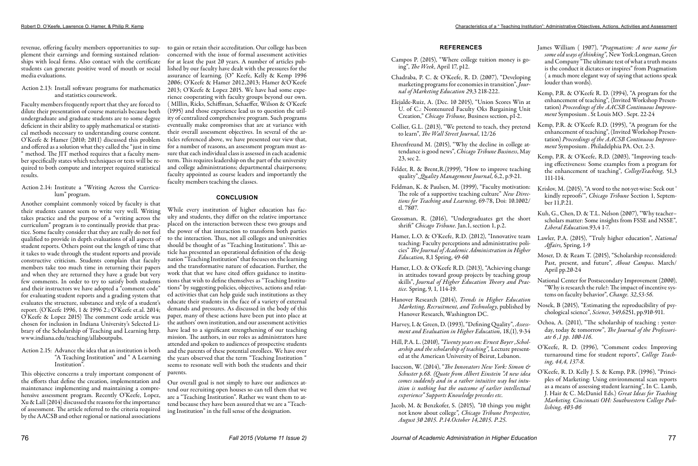revenue, offering faculty members opportunities to supplement their earnings and forming sustained relationships with local firms. Also contact with the certificate students can generate positive word of mouth or social media evaluations.

### Action 2.13: Install software programs for mathematics and statistics coursework.

Faculty members frequently report that they are forced to dilute their presentation of course materials because both undergraduate and graduate students are to some degree deficient in their ability to apply mathematical or statistical methods necessary to understanding course content. O'Keefe & Hamer (2010; 2011) discussed this problem and offered as a solution what they called the "just in time " method. The JIT method requires that a faculty member specifically states which techniques or tests will be required to both compute and interpret required statistical results.

# Action 2.14: Institute a "Writing Across the Curriculum" program.

Another complaint commonly voiced by faculty is that their students cannot seem to write very well. Writing takes practice and the purpose of a "writing across the curriculum" program is to continually provide that practice. Some faculty consider that they are really do not feel qualified to provide in depth evaluations of all aspects of student reports. Others point out the length of time that it takes to wade through the student reports and provide constructive criticism. Students complain that faculty members take too much time in returning their papers and when they are returned they have a grade but very few comments. In order to try to satisfy both students and their instructors we have adopted a "comment code" for evaluating student reports and a grading system that evaluates the structure, substance and style of a student's report. (O'Keefe 1996, 1 & 1996 2.; O'Keefe et.al. 2014; O'Keefe & Lopez 2015) The comment code article was chosen for inclusion in Indiana University's Selected Library of the Scholarship of Teaching and Learning http. www.indiana.edu/teaching/allaboutpubs.

Action 2.15: Advance the idea that an institution is both "A Teaching Institution" and " A Learning Institution".

This objective concerns a truly important component of the efforts that define the creation, implementation and maintenance implementing and maintaining a comprehensive assessment program. Recently O'Keefe, Lopez, Xu & Lall (2014) discussed the reasons for the importance of assessment. The article referred to the criteria required by the AACSB and other regional or national associations

to gain or retain their accreditation. Our college has been concerned with the issue of formal assessment activities for at least the past 20 years. A number of articles published by our faculty have dealt with the pressures for the assurance of learning. (O" Keefe, Kelly & Kemp 1996 2006; O'Keefe & Hamer 2012,2013; Hamer &O'Keefe 2013; O'Keefe & Lopez 2015. We have had some experience cooperating with faculty groups beyond our own. ( Mlllin, Ricks, Schiffman, Schaeffer, Wilson & O'Keefe (1995) and those experience lead us to question the utility of centralized comprehensive program. Such programs eventually make compromises that are at variance with their overall assessment objectives. In several of the articles referenced above, we have presented our view that, for a number of reasons, an assessment program must assure that each individual class is assessed in each academic term. This requires leadership on the part of the university and college administrations; departmental chairpersons; faculty appointed as course leaders and importantly the faculty members teaching the classes.

# **CONCLUSION**

While every institution of higher education has faculty and students, they differ on the relative importance placed on the interaction between these two groups and the power of that interaction to transform both parties to the interaction. Thus, not all colleges and universities should be thought of as "Teaching Institutions". This article has presented an operational definition of the designation "Teaching Institution" that focuses on the learning and the transformative nature of education. Further, the work that that we have cited offers guidance to institutions that wish to define themselves as "Teaching Institutions" by suggesting policies, objectives, actions and related activities that can help guide such institutions as they educate their students in the face of a variety of external demands and pressures. As discussed in the body of this paper, many of these actions have been put into place at the authors' own institution, and our assessment activities have lead to a significant strengthening of our teaching mission. The authors, in our roles as administrators have attended and spoken to audiences of prospective students and the parents of these potential enrollees. We have over the years observed that the term "Teaching Institution " seems to resonate well with both the students and their parents.

Our overall goal is not simply to have our audiences attend our recruiting open houses so can tell them that we are a "Teaching Institution". Rather we want them to attend because they have been assured that we are a "Teaching Institution" in the full sense of the designation.

# **REFERENCES**

- Campos P. (2015), "Where college tuition money is going", *The Week*, April 17, p12*.*
- Chadraba, P. C. & O'Keefe, R. D. (2007), "Developing marketing programs for economies in transition", *Journal of Marketing Education 2*9,3 218-222.
- Elejalde-Ruiz, A. (Dec. 10 2015), "Union Scores Win at U. of C.: Nontenured Faculty Oks Bargaining Unit Creation," *Chicago Tribune,* Business section, p1-2. Kemp, P.R. & O'Keefe R. D. (1994), "A program for the enhancement of teaching", (Invited Workshop Presentation) *Proceedings of the AACSB Continuous Improvement* Symposium . St Louis MO . Sept. 22-24
- Collier, G.L. (2013), "We pretend to teach, they pretend to learn", *The Wall Street Journal*, 12/26 Ehrenfreund M. (2015), "Why the decline in college at-Kemp, P.R. & O'Keefe R.D. (1995), "A program for the enhancement of teaching", (Invited Workshop Presentation) *Proceedings of the AACSB Continuous Improvement* Symposium . Philadelphia PA. Oct. 2-3.
- tendance is good news", *Chicago Tribune Business*, May 23, sec 2.
- Felder, R. & Brent,R.(1999), "How to improve teaching quality", *Quality Management Journal,* 6,2, p.9-21. Kemp, P.R. & O'Keefe, R.D. (2003), "Improving teaching effectiveness: Some examples from a program for the enhancement of teaching", *CollegeTeaching,* 51,3 111-114.
- Feldman, K. & Paulsen, M. (1999), "Faculty motivation: The role of a supportive teaching culture" *New Directions for Teaching and Learning*, 69-78, Doi: 10.1002/ tl. 7807. Krislov, M. (2015), "A word to the not-yet-wise: Seek out ' kindly reproofs'", *Chicago Tribune* Section 1, September 11,P.21.
- Grossman, R. (2016), "Undergraduates get the short shrift" *Chicago Tribune.* Jan.1, section 1, p.2. Kuh, G., Chen, D. & T.L. Nelson (2007), "Why teacher– scholars matter: Some insights from FSSE and NSSE", *Liberal Education.*93,4 1-7.
- Hamer, L.O. & O'Keefe, R.D. (2012), "Innovative team teaching: Faculty perceptions and administrative policies" *The Journal of Academic Administration in Higher Education,* 8,1 Spring, 49-60 Lawler, P.A. (2015), "Truly higher education", *National Affairs,* Spring, 1-9 Moser, D. & Ream T. (2015), "Scholarship reconsidered:
- Hamer, L.O. & O'Keefe R.D. (2013), "Achieving change in attitudes toward group projects by teaching group skills", *Journal of Higher Education Theory and Practice.* Spring, 9, 1, 114-19. April pp.20-24 National Center for Postsecondary Improvement (2000), "Why is research the rule?: The impact of incentive systems on faculty behavior", *Change. 32,53-56.*
- Hanover Research (2014), *Trends in Higher Education Marketing, Recruitment, and Technology*, published by Hanover Research, Washington DC. Nosek, B (2015), "Estimating the reproducibility of psychological science", *Science*, 349,6251, pp.910-911.
- Harvey, L & Green, D. (1993), "Defining Quality", *Assessment and Evaluation in Higher Education,* 18,(1), 9-34 Ochoa, A. (2011), "The scholarship of teaching : yesterday, today & tomorrow", *The Journal of the Professoriate 6 ,1 pp. 100-116*.
- Hill, P.A. L. (2010), *"Twenty years on: Ernest Boyer ,Scholarship and the scholarship of teaching",* Lecture presented at the American University of Beirut, Lebanon. O'Keefe, R. D. (1996), "Comment codes: Improving turnaround time for student reports", *College Teaching, 44,4, 137-8.*
- Isaccson, W. (2014), "*The Innovators New York: Simon & Schuster p.68. (Quote from Albert Einstein "A new idea comes suddenly and in a rather intuitive way but intuition is nothing but the outcome of earlier intellectual experience" Supports Knowledge precedes etc.* Jacob, M. & Benzkofer, S*.* (2015)*, "*10 things you might O'Keefe, R. D. Kelly J. S. & Kemp, P.R. (1996), "Principles of Marketing: Using environmental scan reports as a means of assessing student learning", In C. Lamb, J. Hair & C. McDaniel Eds.) *Great Ideas for Teaching Marketing. Cincinnati OH: Southwestern College Publishing, 403-06*
- not know about college*", Chicago Tribune Perspective, August 30 2015. P.14.October 14,2015. P.25.*

| James William (1907), "Pragmatism: A new name for       |
|---------------------------------------------------------|
| some old ways of thinking", New York: Longman, Green    |
| and Company "The ultimate test of what a truth means    |
| is the conduct it dictates or inspires" from Pragmatism |
| (a much more elegant way of saying that actions speak   |
| louder than words).                                     |

Past, present, and future", *About Campus.* March/